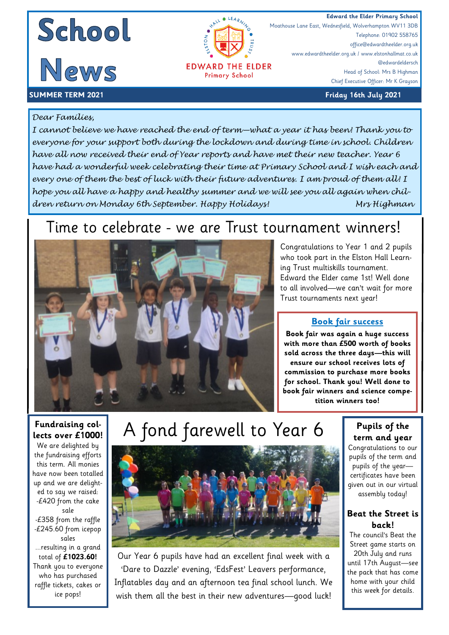





**EDWARD THE ELDER Primary School** 

**Edward the Elder Primary School**<br> **Edward the Elder Primary School**<br>
Moathouse Lane East, Wednesfield, Wolverhampton WV11 3DB Moathouse Lane East, Wednesfield, Wolverhampton WV11 3DB Telephone: 01902 558765 office@edwardtheelder.org.uk www.edwardtheelder.org.uk / www.elstonhallmat.co.uk @edwardeldersch Head of School: Mrs B Highman Chief Executive Officer: Mr K Grayson

#### **SUMMER TERM 2021 Friday 16th July 2021**

#### *Dear Families,*

*I cannot believe we have reached the end of term—what a year it has been! Thank you to everyone for your support both during the lockdown and during time in school. Children have all now received their end of Year reports and have met their new teacher. Year 6 have had a wonderful week celebrating their time at Primary School and I wish each and every one of them the best of luck with their future adventures. I am proud of them all! I hope you all have a happy and healthy summer and we will see you all again when children return on Monday 6th September. Happy Holidays! Mrs Highman* 

### Time to celebrate - we are Trust tournament winners!



Congratulations to Year 1 and 2 pupils who took part in the Elston Hall Learning Trust multiskills tournament. Edward the Elder came 1st! Well done to all involved—we can't wait for more Trust tournaments next year!

#### **Book fair success**

**Book fair was again a huge success with more than £500 worth of books sold across the three days—this will ensure our school receives lots of commission to purchase more books for school. Thank you! Well done to book fair winners and science competition winners too!**

#### **Fundraising collects over £1000!**

We are delighted by the fundraising efforts this term. All monies have now been totalled up and we are delighted to say we raised: -£420 from the cake sale

-£358 from the raffle -£245.60 from icepop sales ...resulting in a grand total of **£1023.60!** Thank you to everyone who has purchased raffle tickets, cakes or ice pops!

# A fond farewell to Year 6



Our Year 6 pupils have had an excellent final week with a 'Dare to Dazzle' evening, 'EdsFest' Leavers performance, Inflatables day and an afternoon tea final school lunch. We wish them all the best in their new adventures—good luck!

#### **Pupils of the term and year**

Congratulations to our pupils of the term and pupils of the year certificates have been given out in our virtual assembly today!

#### **Beat the Street is back!**

The council's Beat the Street game starts on 20th July and runs until 17th August—see the pack that has come home with your child this week for details.